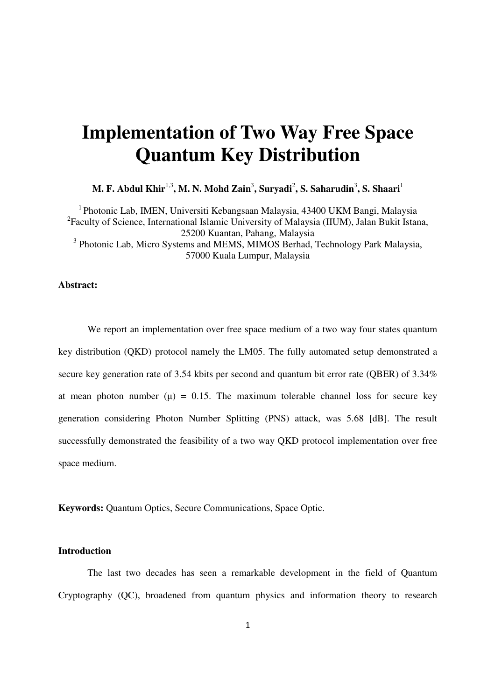# **Implementation of Two Way Free Space Quantum Key Distribution**

**M. F. Abdul Khir** $^{1,3}$ **, M. N. Mohd Zain** $^3$ **, Suryadi** $^2$ **, S. Saharudin** $^3$ **, S. Shaari** $^1$ 

<sup>1</sup> Photonic Lab, IMEN, Universiti Kebangsaan Malaysia, 43400 UKM Bangi, Malaysia <sup>2</sup> Faculty of Science, International Islamic University of Malaysia (IIUM), Jalan Bukit Istana, 25200 Kuantan, Pahang, Malaysia <sup>3</sup> Photonic Lab, Micro Systems and MEMS, MIMOS Berhad, Technology Park Malaysia, 57000 Kuala Lumpur, Malaysia

#### **Abstract:**

We report an implementation over free space medium of a two way four states quantum key distribution (QKD) protocol namely the LM05. The fully automated setup demonstrated a secure key generation rate of 3.54 kbits per second and quantum bit error rate (QBER) of 3.34% at mean photon number  $(\mu) = 0.15$ . The maximum tolerable channel loss for secure key generation considering Photon Number Splitting (PNS) attack, was 5.68 [dB]. The result successfully demonstrated the feasibility of a two way QKD protocol implementation over free space medium.

**Keywords:** Quantum Optics, Secure Communications, Space Optic.

#### **Introduction**

The last two decades has seen a remarkable development in the field of Quantum Cryptography (QC), broadened from quantum physics and information theory to research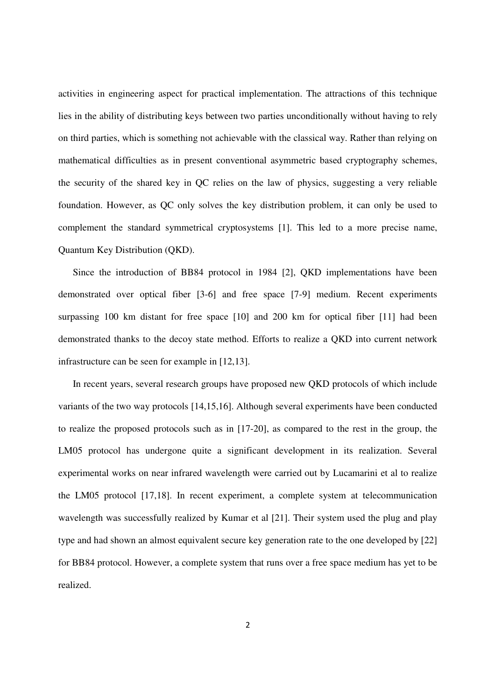activities in engineering aspect for practical implementation. The attractions of this technique lies in the ability of distributing keys between two parties unconditionally without having to rely on third parties, which is something not achievable with the classical way. Rather than relying on mathematical difficulties as in present conventional asymmetric based cryptography schemes, the security of the shared key in QC relies on the law of physics, suggesting a very reliable foundation. However, as QC only solves the key distribution problem, it can only be used to complement the standard symmetrical cryptosystems [1]. This led to a more precise name, Quantum Key Distribution (QKD).

Since the introduction of BB84 protocol in 1984 [2], QKD implementations have been demonstrated over optical fiber [3-6] and free space [7-9] medium. Recent experiments surpassing 100 km distant for free space [10] and 200 km for optical fiber [11] had been demonstrated thanks to the decoy state method. Efforts to realize a QKD into current network infrastructure can be seen for example in [12,13].

In recent years, several research groups have proposed new QKD protocols of which include variants of the two way protocols [14,15,16]. Although several experiments have been conducted to realize the proposed protocols such as in [17-20], as compared to the rest in the group, the LM05 protocol has undergone quite a significant development in its realization. Several experimental works on near infrared wavelength were carried out by Lucamarini et al to realize the LM05 protocol [17,18]. In recent experiment, a complete system at telecommunication wavelength was successfully realized by Kumar et al [21]. Their system used the plug and play type and had shown an almost equivalent secure key generation rate to the one developed by [22] for BB84 protocol. However, a complete system that runs over a free space medium has yet to be realized.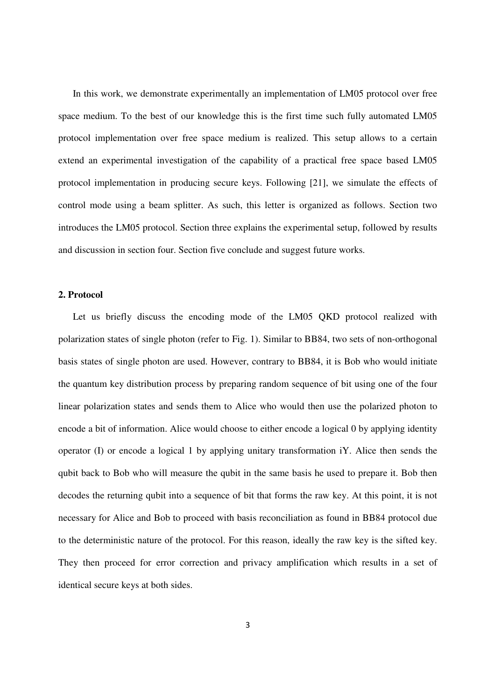In this work, we demonstrate experimentally an implementation of LM05 protocol over free space medium. To the best of our knowledge this is the first time such fully automated LM05 protocol implementation over free space medium is realized. This setup allows to a certain extend an experimental investigation of the capability of a practical free space based LM05 protocol implementation in producing secure keys. Following [21], we simulate the effects of control mode using a beam splitter. As such, this letter is organized as follows. Section two introduces the LM05 protocol. Section three explains the experimental setup, followed by results and discussion in section four. Section five conclude and suggest future works.

## **2. Protocol**

Let us briefly discuss the encoding mode of the LM05 QKD protocol realized with polarization states of single photon (refer to Fig. 1). Similar to BB84, two sets of non-orthogonal basis states of single photon are used. However, contrary to BB84, it is Bob who would initiate the quantum key distribution process by preparing random sequence of bit using one of the four linear polarization states and sends them to Alice who would then use the polarized photon to encode a bit of information. Alice would choose to either encode a logical 0 by applying identity operator (I) or encode a logical 1 by applying unitary transformation iY. Alice then sends the qubit back to Bob who will measure the qubit in the same basis he used to prepare it. Bob then decodes the returning qubit into a sequence of bit that forms the raw key. At this point, it is not necessary for Alice and Bob to proceed with basis reconciliation as found in BB84 protocol due to the deterministic nature of the protocol. For this reason, ideally the raw key is the sifted key. They then proceed for error correction and privacy amplification which results in a set of identical secure keys at both sides.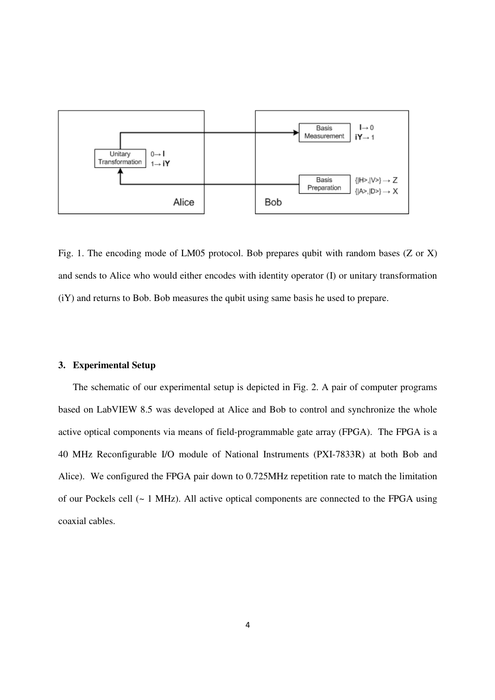

Fig. 1. The encoding mode of LM05 protocol. Bob prepares qubit with random bases (Z or X) and sends to Alice who would either encodes with identity operator (I) or unitary transformation (iY) and returns to Bob. Bob measures the qubit using same basis he used to prepare.

#### **3. Experimental Setup**

The schematic of our experimental setup is depicted in Fig. 2. A pair of computer programs based on LabVIEW 8.5 was developed at Alice and Bob to control and synchronize the whole active optical components via means of field-programmable gate array (FPGA). The FPGA is a 40 MHz Reconfigurable I/O module of National Instruments (PXI-7833R) at both Bob and Alice). We configured the FPGA pair down to 0.725MHz repetition rate to match the limitation of our Pockels cell (~ 1 MHz). All active optical components are connected to the FPGA using coaxial cables.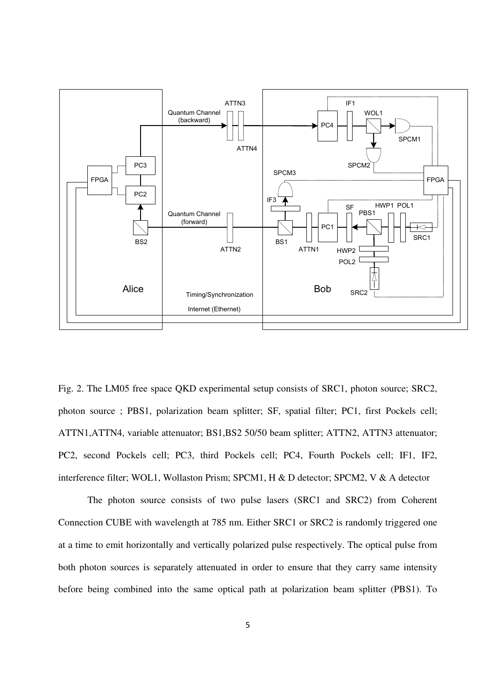

Fig. 2. The LM05 free space QKD experimental setup consists of SRC1, photon source; SRC2, photon source ; PBS1, polarization beam splitter; SF, spatial filter; PC1, first Pockels cell; ATTN1,ATTN4, variable attenuator; BS1,BS2 50/50 beam splitter; ATTN2, ATTN3 attenuator; PC2, second Pockels cell; PC3, third Pockels cell; PC4, Fourth Pockels cell; IF1, IF2, interference filter; WOL1, Wollaston Prism; SPCM1, H & D detector; SPCM2, V & A detector

The photon source consists of two pulse lasers (SRC1 and SRC2) from Coherent Connection CUBE with wavelength at 785 nm. Either SRC1 or SRC2 is randomly triggered one at a time to emit horizontally and vertically polarized pulse respectively. The optical pulse from both photon sources is separately attenuated in order to ensure that they carry same intensity before being combined into the same optical path at polarization beam splitter (PBS1). To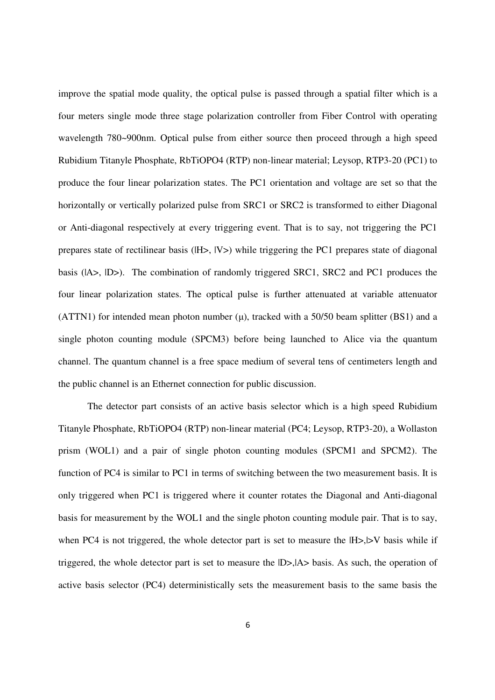improve the spatial mode quality, the optical pulse is passed through a spatial filter which is a four meters single mode three stage polarization controller from Fiber Control with operating wavelength 780~900nm. Optical pulse from either source then proceed through a high speed Rubidium Titanyle Phosphate, RbTiOPO4 (RTP) non-linear material; Leysop, RTP3-20 (PC1) to produce the four linear polarization states. The PC1 orientation and voltage are set so that the horizontally or vertically polarized pulse from SRC1 or SRC2 is transformed to either Diagonal or Anti-diagonal respectively at every triggering event. That is to say, not triggering the PC1 prepares state of rectilinear basis ( $|H>$ ,  $|V>$ ) while triggering the PC1 prepares state of diagonal basis ( $|A\rangle$ ,  $|D\rangle$ ). The combination of randomly triggered SRC1, SRC2 and PC1 produces the four linear polarization states. The optical pulse is further attenuated at variable attenuator (ATTN1) for intended mean photon number  $(\mu)$ , tracked with a 50/50 beam splitter (BS1) and a single photon counting module (SPCM3) before being launched to Alice via the quantum channel. The quantum channel is a free space medium of several tens of centimeters length and the public channel is an Ethernet connection for public discussion.

The detector part consists of an active basis selector which is a high speed Rubidium Titanyle Phosphate, RbTiOPO4 (RTP) non-linear material (PC4; Leysop, RTP3-20), a Wollaston prism (WOL1) and a pair of single photon counting modules (SPCM1 and SPCM2). The function of PC4 is similar to PC1 in terms of switching between the two measurement basis. It is only triggered when PC1 is triggered where it counter rotates the Diagonal and Anti-diagonal basis for measurement by the WOL1 and the single photon counting module pair. That is to say, when PC4 is not triggered, the whole detector part is set to measure the  $|H>$ ,  $|V$  basis while if triggered, the whole detector part is set to measure the |D>,|A> basis. As such, the operation of active basis selector (PC4) deterministically sets the measurement basis to the same basis the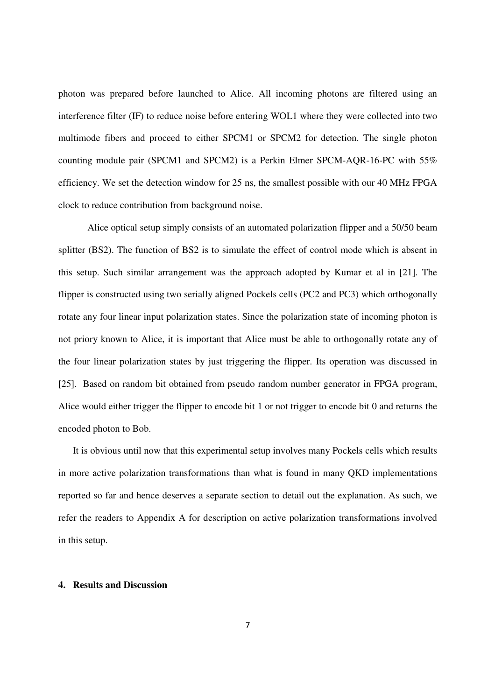photon was prepared before launched to Alice. All incoming photons are filtered using an interference filter (IF) to reduce noise before entering WOL1 where they were collected into two multimode fibers and proceed to either SPCM1 or SPCM2 for detection. The single photon counting module pair (SPCM1 and SPCM2) is a Perkin Elmer SPCM-AQR-16-PC with 55% efficiency. We set the detection window for 25 ns, the smallest possible with our 40 MHz FPGA clock to reduce contribution from background noise.

Alice optical setup simply consists of an automated polarization flipper and a 50/50 beam splitter (BS2). The function of BS2 is to simulate the effect of control mode which is absent in this setup. Such similar arrangement was the approach adopted by Kumar et al in [21]. The flipper is constructed using two serially aligned Pockels cells (PC2 and PC3) which orthogonally rotate any four linear input polarization states. Since the polarization state of incoming photon is not priory known to Alice, it is important that Alice must be able to orthogonally rotate any of the four linear polarization states by just triggering the flipper. Its operation was discussed in [25]. Based on random bit obtained from pseudo random number generator in FPGA program, Alice would either trigger the flipper to encode bit 1 or not trigger to encode bit 0 and returns the encoded photon to Bob.

It is obvious until now that this experimental setup involves many Pockels cells which results in more active polarization transformations than what is found in many QKD implementations reported so far and hence deserves a separate section to detail out the explanation. As such, we refer the readers to Appendix A for description on active polarization transformations involved in this setup.

## **4. Results and Discussion**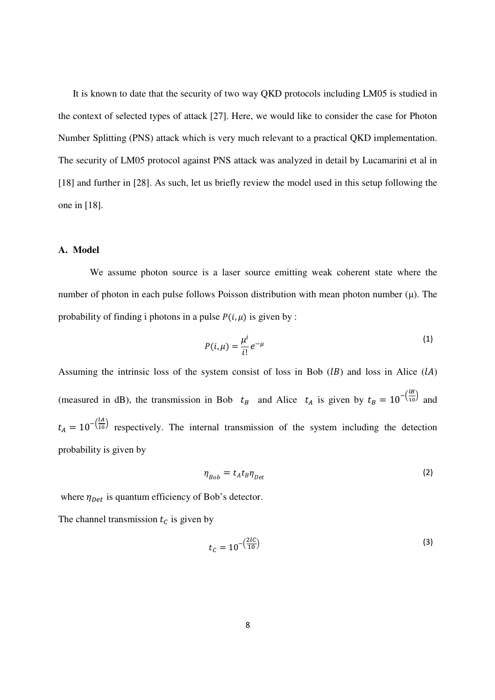It is known to date that the security of two way QKD protocols including LM05 is studied in the context of selected types of attack [27]. Here, we would like to consider the case for Photon Number Splitting (PNS) attack which is very much relevant to a practical QKD implementation. The security of LM05 protocol against PNS attack was analyzed in detail by Lucamarini et al in [18] and further in [28]. As such, let us briefly review the model used in this setup following the one in [18].

## **A. Model**

We assume photon source is a laser source emitting weak coherent state where the number of photon in each pulse follows Poisson distribution with mean photon number  $(\mu)$ . The probability of finding i photons in a pulse  $P(i, \mu)$  is given by :

$$
P(i,\mu) = \frac{\mu^i}{i!}e^{-\mu} \tag{1}
$$

Assuming the intrinsic loss of the system consist of loss in Bob  $(1B)$  and loss in Alice  $(1A)$ (measured in dB), the transmission in Bob  $t_B$  and Alice  $t_A$  is given by  $t_B = 10^{-\frac{1B}{10}}$  and  $t_A = 10^{-\frac{1A}{10}}$  respectively. The internal transmission of the system including the detection probability is given by

$$
\eta_{Bob} = t_A t_B \eta_{Det} \tag{2}
$$

where  $\eta_{Det}$  is quantum efficiency of Bob's detector.

The channel transmission  $t_c$  is given by

$$
t_C = 10^{-\left(\frac{2IC}{10}\right)}\tag{3}
$$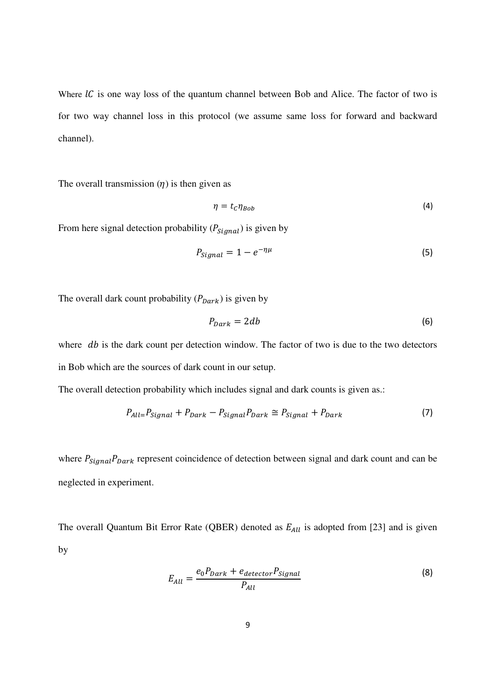Where  $\mathcal{IC}$  is one way loss of the quantum channel between Bob and Alice. The factor of two is for two way channel loss in this protocol (we assume same loss for forward and backward channel).

The overall transmission  $(\eta)$  is then given as

$$
\eta = t_c \eta_{Bob} \tag{4}
$$

From here signal detection probability ( $P_{signal}$ ) is given by

$$
P_{signal} = 1 - e^{-\eta\mu} \tag{5}
$$

The overall dark count probability  $(P_{Dark})$  is given by

$$
P_{Dark} = 2db \tag{6}
$$

where  $db$  is the dark count per detection window. The factor of two is due to the two detectors in Bob which are the sources of dark count in our setup.

The overall detection probability which includes signal and dark counts is given as.:

$$
P_{All} = P_{Signal} + P_{Dark} - P_{Signal} P_{Dark} \cong P_{Signal} + P_{Dark}
$$
\n(7)

where  $P_{Signal}P_{Dark}$  represent coincidence of detection between signal and dark count and can be neglected in experiment.

The overall Quantum Bit Error Rate (QBER) denoted as  $E_{All}$  is adopted from [23] and is given by

$$
E_{All} = \frac{e_0 P_{Dark} + e_{detector} P_{Signal}}{P_{All}}
$$
\n(8)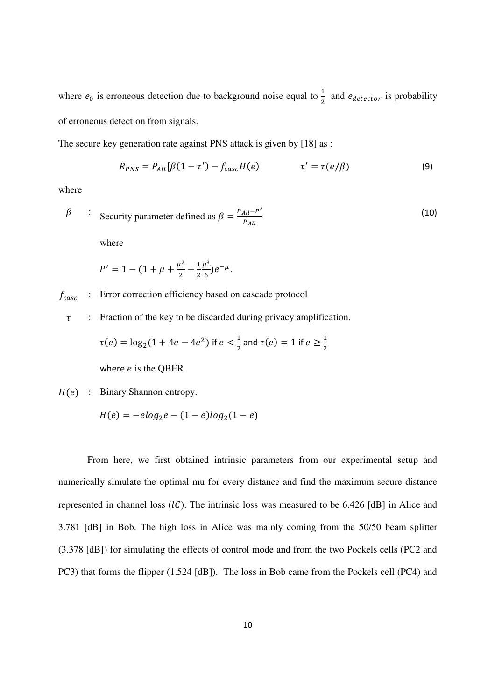where  $e_0$  is erroneous detection due to background noise equal to  $\frac{1}{2}$  and  $e_{detector}$  is probability of erroneous detection from signals.

The secure key generation rate against PNS attack is given by [18] as :

$$
R_{PNS} = P_{All}[\beta(1-\tau') - f_{casc}H(e) \qquad \qquad \tau' = \tau(e/\beta) \qquad (9)
$$

where

$$
\beta \qquad : \quad \text{Security parameter defined as } \beta = \frac{P_{All} - P'}{P_{All}} \tag{10}
$$
\nwhere

$$
P' = 1 - (1 + \mu + \frac{\mu^2}{2} + \frac{1}{2} \frac{\mu^3}{6}) e^{-\mu}.
$$

 $f_{\text{case}}$  : Error correction efficiency based on cascade protocol

 $\tau$  : Fraction of the key to be discarded during privacy amplification.

$$
\tau(e) = \log_2(1 + 4e - 4e^2)
$$
 if  $e < \frac{1}{2}$  and  $\tau(e) = 1$  if  $e \ge \frac{1}{2}$ 

where  $e$  is the QBER.

 $H(e)$  : Binary Shannon entropy.

$$
H(e) = -e \log_2 e - (1 - e) \log_2 (1 - e)
$$

From here, we first obtained intrinsic parameters from our experimental setup and numerically simulate the optimal mu for every distance and find the maximum secure distance represented in channel loss  $(1)$ . The intrinsic loss was measured to be 6.426 [dB] in Alice and 3.781 [dB] in Bob. The high loss in Alice was mainly coming from the 50/50 beam splitter (3.378 [dB]) for simulating the effects of control mode and from the two Pockels cells (PC2 and PC3) that forms the flipper (1.524 [dB]). The loss in Bob came from the Pockels cell (PC4) and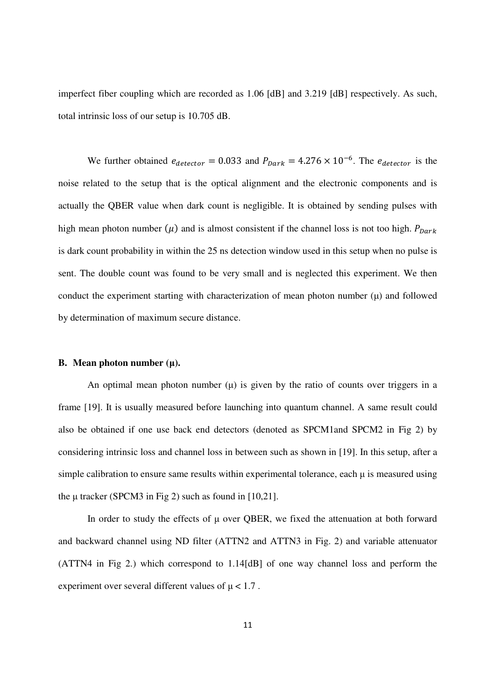imperfect fiber coupling which are recorded as 1.06 [dB] and 3.219 [dB] respectively. As such, total intrinsic loss of our setup is 10.705 dB.

We further obtained  $e_{detector} = 0.033$  and  $P_{Dark} = 4.276 \times 10^{-6}$ . The  $e_{detector}$  is the noise related to the setup that is the optical alignment and the electronic components and is actually the QBER value when dark count is negligible. It is obtained by sending pulses with high mean photon number  $(\mu)$  and is almost consistent if the channel loss is not too high.  $P_{Dark}$ is dark count probability in within the 25 ns detection window used in this setup when no pulse is sent. The double count was found to be very small and is neglected this experiment. We then conduct the experiment starting with characterization of mean photon number  $(\mu)$  and followed by determination of maximum secure distance.

#### **B. Mean photon number (**µ**).**

An optimal mean photon number  $(\mu)$  is given by the ratio of counts over triggers in a frame [19]. It is usually measured before launching into quantum channel. A same result could also be obtained if one use back end detectors (denoted as SPCM1and SPCM2 in Fig 2) by considering intrinsic loss and channel loss in between such as shown in [19]. In this setup, after a simple calibration to ensure same results within experimental tolerance, each  $\mu$  is measured using the  $\mu$  tracker (SPCM3 in Fig 2) such as found in [10,21].

In order to study the effects of  $\mu$  over QBER, we fixed the attenuation at both forward and backward channel using ND filter (ATTN2 and ATTN3 in Fig. 2) and variable attenuator (ATTN4 in Fig 2.) which correspond to 1.14[dB] of one way channel loss and perform the experiment over several different values of  $\mu$  < 1.7.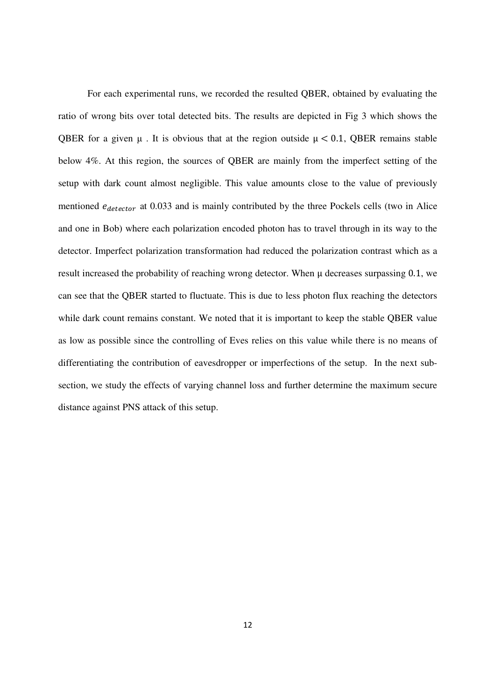For each experimental runs, we recorded the resulted QBER, obtained by evaluating the ratio of wrong bits over total detected bits. The results are depicted in Fig 3 which shows the QBER for a given  $\mu$ . It is obvious that at the region outside  $\mu$  < 0.1, QBER remains stable below 4%. At this region, the sources of QBER are mainly from the imperfect setting of the setup with dark count almost negligible. This value amounts close to the value of previously mentioned  $e_{detector}$  at 0.033 and is mainly contributed by the three Pockels cells (two in Alice and one in Bob) where each polarization encoded photon has to travel through in its way to the detector. Imperfect polarization transformation had reduced the polarization contrast which as a result increased the probability of reaching wrong detector. When  $\mu$  decreases surpassing 0.1, we can see that the QBER started to fluctuate. This is due to less photon flux reaching the detectors while dark count remains constant. We noted that it is important to keep the stable QBER value as low as possible since the controlling of Eves relies on this value while there is no means of differentiating the contribution of eavesdropper or imperfections of the setup. In the next subsection, we study the effects of varying channel loss and further determine the maximum secure distance against PNS attack of this setup.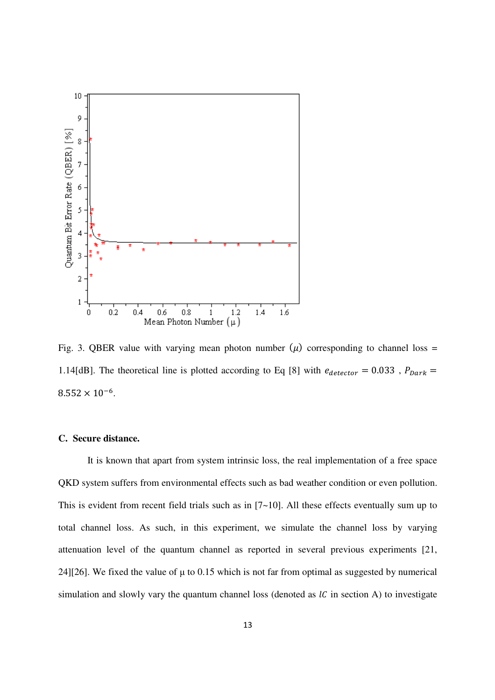

Fig. 3. QBER value with varying mean photon number  $(\mu)$  corresponding to channel loss = 1.14[dB]. The theoretical line is plotted according to Eq [8] with  $e_{detector} = 0.033$ ,  $P_{Dark} =$  $8.552 \times 10^{-6}$ .

### **C. Secure distance.**

It is known that apart from system intrinsic loss, the real implementation of a free space QKD system suffers from environmental effects such as bad weather condition or even pollution. This is evident from recent field trials such as in [7~10]. All these effects eventually sum up to total channel loss. As such, in this experiment, we simulate the channel loss by varying attenuation level of the quantum channel as reported in several previous experiments [21, 24][26]. We fixed the value of  $\mu$  to 0.15 which is not far from optimal as suggested by numerical simulation and slowly vary the quantum channel loss (denoted as  $lC$  in section A) to investigate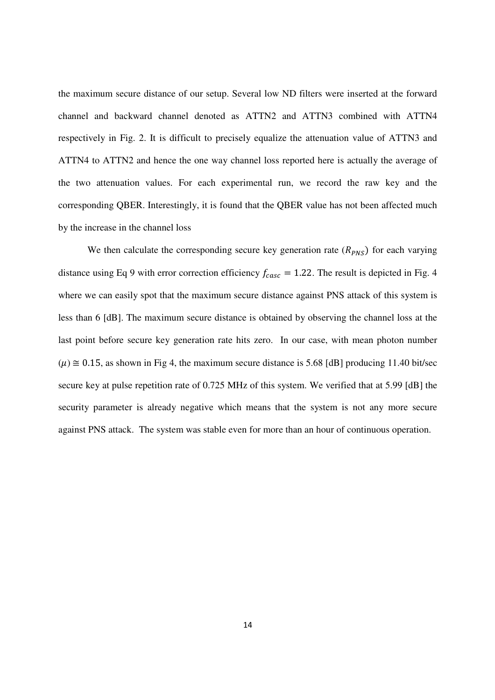the maximum secure distance of our setup. Several low ND filters were inserted at the forward channel and backward channel denoted as ATTN2 and ATTN3 combined with ATTN4 respectively in Fig. 2. It is difficult to precisely equalize the attenuation value of ATTN3 and ATTN4 to ATTN2 and hence the one way channel loss reported here is actually the average of the two attenuation values. For each experimental run, we record the raw key and the corresponding QBER. Interestingly, it is found that the QBER value has not been affected much by the increase in the channel loss

We then calculate the corresponding secure key generation rate  $(R<sub>PNS</sub>)$  for each varying distance using Eq 9 with error correction efficiency  $f_{casc} = 1.22$ . The result is depicted in Fig. 4 where we can easily spot that the maximum secure distance against PNS attack of this system is less than 6 [dB]. The maximum secure distance is obtained by observing the channel loss at the last point before secure key generation rate hits zero. In our case, with mean photon number  $(\mu) \approx 0.15$ , as shown in Fig 4, the maximum secure distance is 5.68 [dB] producing 11.40 bit/sec secure key at pulse repetition rate of 0.725 MHz of this system. We verified that at 5.99 [dB] the security parameter is already negative which means that the system is not any more secure against PNS attack. The system was stable even for more than an hour of continuous operation.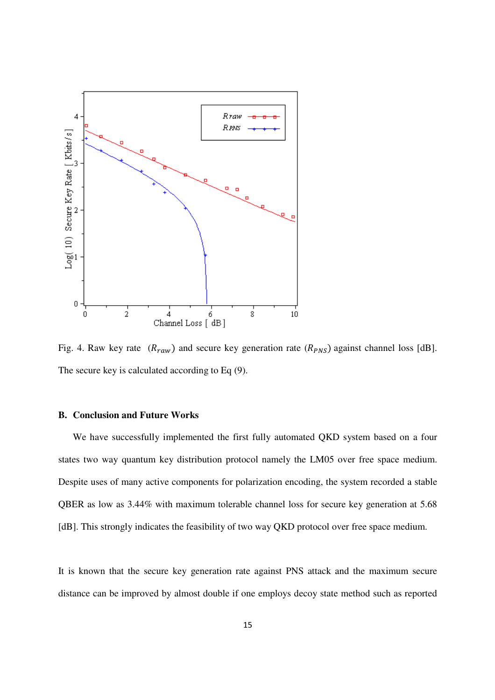

Fig. 4. Raw key rate  $(R_{raw})$  and secure key generation rate  $(R_{PNS})$  against channel loss [dB]. The secure key is calculated according to Eq (9).

# **B. Conclusion and Future Works**

We have successfully implemented the first fully automated QKD system based on a four states two way quantum key distribution protocol namely the LM05 over free space medium. Despite uses of many active components for polarization encoding, the system recorded a stable QBER as low as 3.44% with maximum tolerable channel loss for secure key generation at 5.68 [dB]. This strongly indicates the feasibility of two way QKD protocol over free space medium.

It is known that the secure key generation rate against PNS attack and the maximum secure distance can be improved by almost double if one employs decoy state method such as reported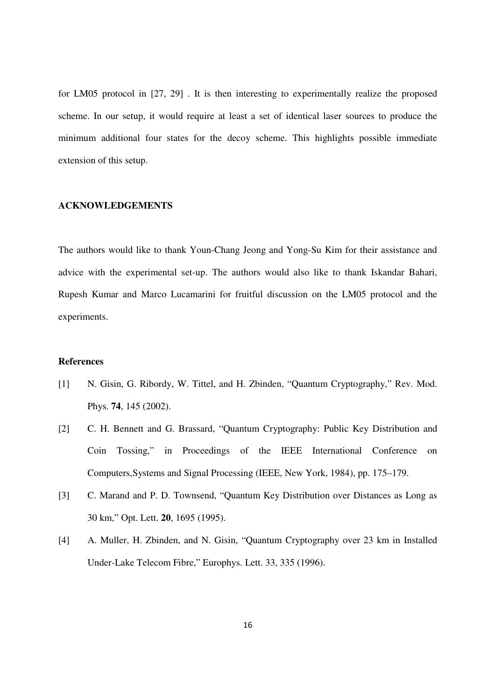for LM05 protocol in [27, 29] . It is then interesting to experimentally realize the proposed scheme. In our setup, it would require at least a set of identical laser sources to produce the minimum additional four states for the decoy scheme. This highlights possible immediate extension of this setup.

#### **ACKNOWLEDGEMENTS**

The authors would like to thank Youn-Chang Jeong and Yong-Su Kim for their assistance and advice with the experimental set-up. The authors would also like to thank Iskandar Bahari, Rupesh Kumar and Marco Lucamarini for fruitful discussion on the LM05 protocol and the experiments.

## **References**

- [1] N. Gisin, G. Ribordy, W. Tittel, and H. Zbinden, "Quantum Cryptography," Rev. Mod. Phys. **74**, 145 (2002).
- [2] C. H. Bennett and G. Brassard, "Quantum Cryptography: Public Key Distribution and Coin Tossing," in Proceedings of the IEEE International Conference on Computers,Systems and Signal Processing (IEEE, New York, 1984), pp. 175–179.
- [3] C. Marand and P. D. Townsend, "Quantum Key Distribution over Distances as Long as 30 km," Opt. Lett. **20**, 1695 (1995).
- [4] A. Muller, H. Zbinden, and N. Gisin, "Quantum Cryptography over 23 km in Installed Under-Lake Telecom Fibre," Europhys. Lett. 33, 335 (1996).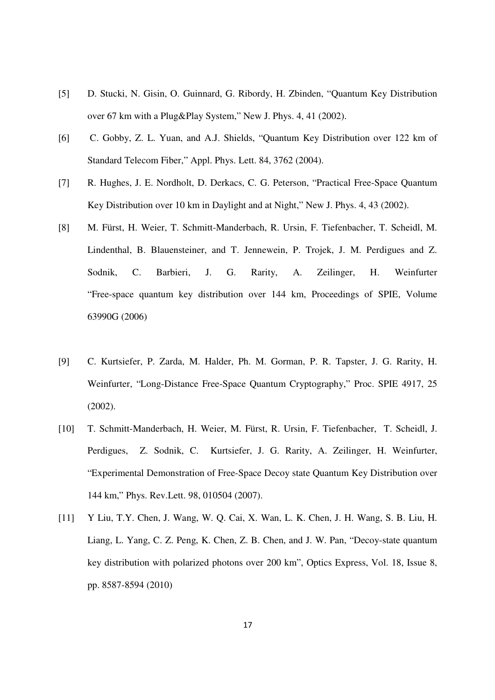- [5] D. Stucki, N. Gisin, O. Guinnard, G. Ribordy, H. Zbinden, "Quantum Key Distribution over 67 km with a Plug&Play System," New J. Phys. 4, 41 (2002).
- [6] C. Gobby, Z. L. Yuan, and A.J. Shields, "Quantum Key Distribution over 122 km of Standard Telecom Fiber," Appl. Phys. Lett. 84, 3762 (2004).
- [7] R. Hughes, J. E. Nordholt, D. Derkacs, C. G. Peterson, "Practical Free-Space Quantum Key Distribution over 10 km in Daylight and at Night," New J. Phys. 4, 43 (2002).
- [8] M. Fürst, H. Weier, T. Schmitt-Manderbach, R. Ursin, F. Tiefenbacher, T. Scheidl, M. Lindenthal, B. Blauensteiner, and T. Jennewein, P. Trojek, J. M. Perdigues and Z. Sodnik, C. Barbieri, J. G. Rarity, A. Zeilinger, H. Weinfurter "Free-space quantum key distribution over 144 km, Proceedings of SPIE, Volume 63990G (2006)
- [9] C. Kurtsiefer, P. Zarda, M. Halder, Ph. M. Gorman, P. R. Tapster, J. G. Rarity, H. Weinfurter, "Long-Distance Free-Space Quantum Cryptography," Proc. SPIE 4917, 25 (2002).
- [10] T. Schmitt-Manderbach, H. Weier, M. Fürst, R. Ursin, F. Tiefenbacher, T. Scheidl, J. Perdigues, Z. Sodnik, C. Kurtsiefer, J. G. Rarity, A. Zeilinger, H. Weinfurter, "Experimental Demonstration of Free-Space Decoy state Quantum Key Distribution over 144 km," Phys. Rev.Lett. 98, 010504 (2007).
- [11] Y Liu, T.Y. Chen, J. Wang, W. Q. Cai, X. Wan, L. K. Chen, J. H. Wang, S. B. Liu, H. Liang, L. Yang, C. Z. Peng, K. Chen, Z. B. Chen, and J. W. Pan, "Decoy-state quantum key distribution with polarized photons over 200 km", Optics Express, Vol. 18, Issue 8, pp. 8587-8594 (2010)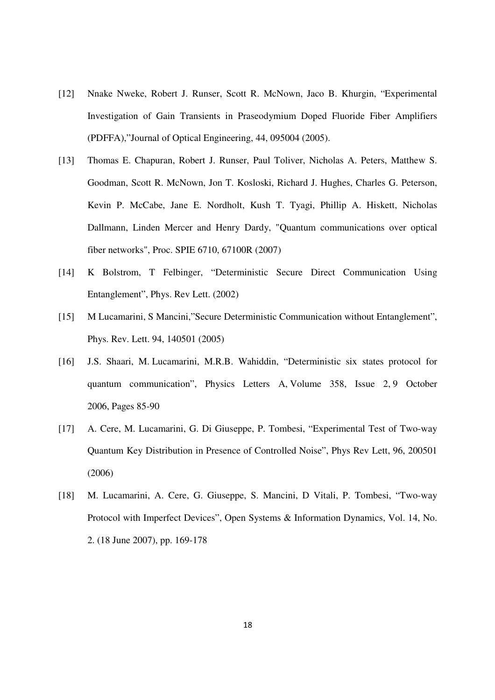- [12] Nnake Nweke, Robert J. Runser, Scott R. McNown, Jaco B. Khurgin, "Experimental Investigation of Gain Transients in Praseodymium Doped Fluoride Fiber Amplifiers (PDFFA),"Journal of Optical Engineering, 44, 095004 (2005).
- [13] Thomas E. Chapuran, Robert J. Runser, Paul Toliver, Nicholas A. Peters, Matthew S. Goodman, Scott R. McNown, Jon T. Kosloski, Richard J. Hughes, Charles G. Peterson, Kevin P. McCabe, Jane E. Nordholt, Kush T. Tyagi, Phillip A. Hiskett, Nicholas Dallmann, Linden Mercer and Henry Dardy, "Quantum communications over optical fiber networks", Proc. SPIE 6710, 67100R (2007)
- [14] K Bolstrom, T Felbinger, "Deterministic Secure Direct Communication Using Entanglement", Phys. Rev Lett. (2002)
- [15] M Lucamarini, S Mancini,"Secure Deterministic Communication without Entanglement", Phys. Rev. Lett. 94, 140501 (2005)
- [16] J.S. Shaari, M. Lucamarini, M.R.B. Wahiddin, "Deterministic six states protocol for quantum communication", Physics Letters A, Volume 358, Issue 2, 9 October 2006, Pages 85-90
- [17] A. Cere, M. Lucamarini, G. Di Giuseppe, P. Tombesi, "Experimental Test of Two-way Quantum Key Distribution in Presence of Controlled Noise", Phys Rev Lett, 96, 200501 (2006)
- [18] M. Lucamarini, A. Cere, G. Giuseppe, S. Mancini, D Vitali, P. Tombesi, "Two-way Protocol with Imperfect Devices", Open Systems & Information Dynamics, Vol. 14, No. 2. (18 June 2007), pp. 169-178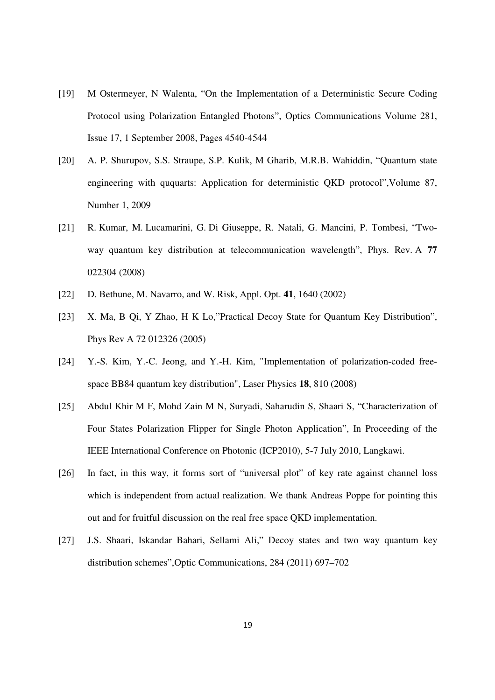- [19] M Ostermeyer, N Walenta, "On the Implementation of a Deterministic Secure Coding Protocol using Polarization Entangled Photons", Optics Communications Volume 281, Issue 17, 1 September 2008, Pages 4540-4544
- [20] A. P. Shurupov, S.S. Straupe, S.P. Kulik, M Gharib, M.R.B. Wahiddin, "Quantum state engineering with ququarts: Application for deterministic QKD protocol",Volume 87, Number 1, 2009
- [21] R. Kumar, M. Lucamarini, G. Di Giuseppe, R. Natali, G. Mancini, P. Tombesi, "Twoway quantum key distribution at telecommunication wavelength", Phys. Rev. A **77** 022304 (2008)
- [22] D. Bethune, M. Navarro, and W. Risk, Appl. Opt. **41**, 1640 (2002)
- [23] X. Ma, B Qi, Y Zhao, H K Lo, "Practical Decoy State for Quantum Key Distribution", Phys Rev A 72 012326 (2005)
- [24] Y.-S. Kim, Y.-C. Jeong, and Y.-H. Kim, "Implementation of polarization-coded freespace BB84 quantum key distribution", Laser Physics **18**, 810 (2008)
- [25] Abdul Khir M F, Mohd Zain M N, Suryadi, Saharudin S, Shaari S, "Characterization of Four States Polarization Flipper for Single Photon Application", In Proceeding of the IEEE International Conference on Photonic (ICP2010), 5-7 July 2010, Langkawi.
- [26] In fact, in this way, it forms sort of "universal plot" of key rate against channel loss which is independent from actual realization. We thank Andreas Poppe for pointing this out and for fruitful discussion on the real free space QKD implementation.
- [27] J.S. Shaari, Iskandar Bahari, Sellami Ali," Decoy states and two way quantum key distribution schemes",Optic Communications, 284 (2011) 697–702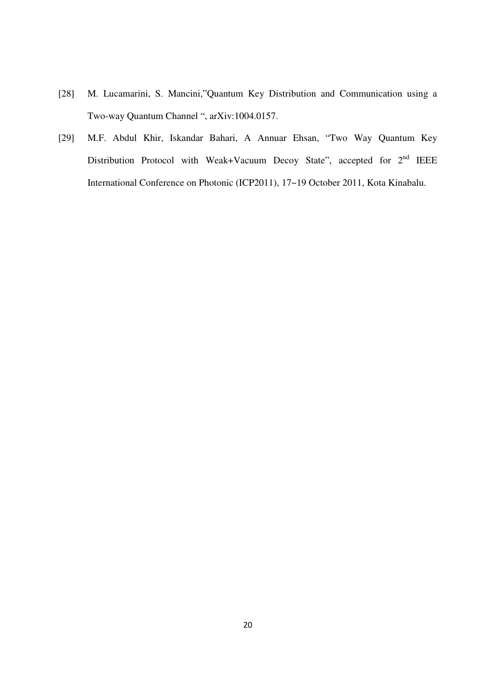- [28] M. Lucamarini, S. Mancini,"Quantum Key Distribution and Communication using a Two-way Quantum Channel ", arXiv:1004.0157.
- [29] M.F. Abdul Khir, Iskandar Bahari, A Annuar Ehsan, "Two Way Quantum Key Distribution Protocol with Weak+Vacuum Decoy State", accepted for  $2<sup>nd</sup>$  IEEE International Conference on Photonic (ICP2011), 17~19 October 2011, Kota Kinabalu.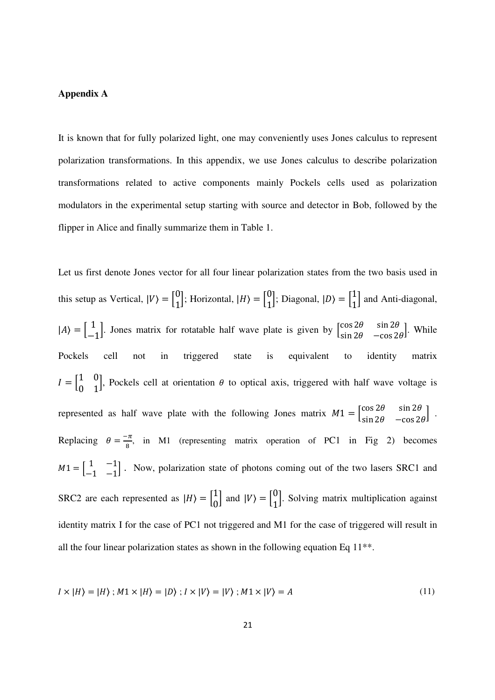## **Appendix A**

It is known that for fully polarized light, one may conveniently uses Jones calculus to represent polarization transformations. In this appendix, we use Jones calculus to describe polarization transformations related to active components mainly Pockels cells used as polarization modulators in the experimental setup starting with source and detector in Bob, followed by the flipper in Alice and finally summarize them in Table 1.

Let us first denote Jones vector for all four linear polarization states from the two basis used in this setup as Vertical,  $|V\rangle = \begin{bmatrix} 0 \\ 1 \end{bmatrix}$ ; Horizontal,  $|H\rangle = \begin{bmatrix} 0 \\ 1 \end{bmatrix}$ ; Diagonal,  $|D\rangle = \begin{bmatrix} 1 \\ 1 \end{bmatrix}$  and Anti-diagonal,  $|A\rangle = \begin{bmatrix} 1 \\ -1 \end{bmatrix}$ . Jones matrix for rotatable half wave plate is given by  $\begin{bmatrix} \cos 2\theta & \sin 2\theta \\ \sin 2\theta & -\cos 2\theta \end{bmatrix}$  $\begin{bmatrix} \cos 2\theta & \sin 2\theta \\ \sin 2\theta & -\cos 2\theta \end{bmatrix}$ . While Pockels cell not in triggered state is equivalent to identity matrix  $I = \begin{bmatrix} 1 & 0 \\ 0 & 1 \end{bmatrix}$ , Pockels cell at orientation  $\theta$  to optical axis, triggered with half wave voltage is represented as half wave plate with the following Jones matrix  $M_1 = \begin{bmatrix} \cos 2\theta & \sin 2\theta \\ \sin 2\theta & -\cos 2\theta \end{bmatrix}$ . Replacing  $\theta = \frac{-\pi}{8}$ , in M1 (representing matrix operation of PC1 in Fig 2) becomes  $M1 = \begin{bmatrix} 1 & -1 \\ 1 & 1 \end{bmatrix}$  $\begin{bmatrix} 1 & -1 \\ -1 & -1 \end{bmatrix}$ . Now, polarization state of photons coming out of the two lasers SRC1 and SRC2 are each represented as  $|H\rangle = \begin{bmatrix} 1 \\ 0 \end{bmatrix}$  and  $|V\rangle = \begin{bmatrix} 0 \\ 1 \end{bmatrix}$ . Solving matrix multiplication against identity matrix I for the case of PC1 not triggered and M1 for the case of triggered will result in all the four linear polarization states as shown in the following equation Eq 11\*\*.

$$
I \times |H\rangle = |H\rangle; M1 \times |H\rangle = |D\rangle; I \times |V\rangle = |V\rangle; M1 \times |V\rangle = A
$$
\n<sup>(11)</sup>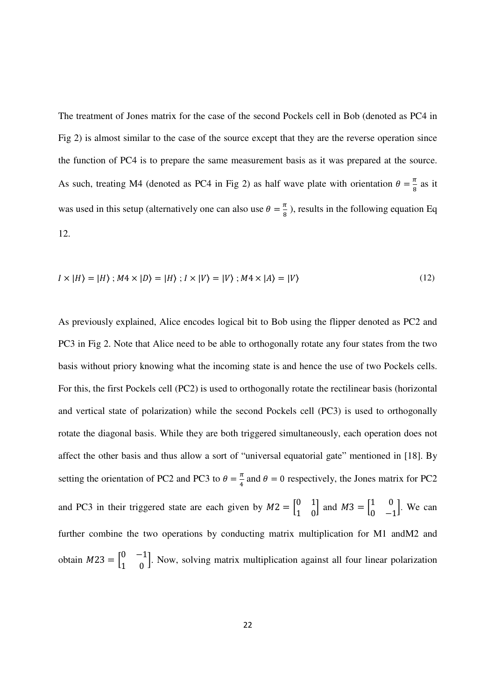The treatment of Jones matrix for the case of the second Pockels cell in Bob (denoted as PC4 in Fig 2) is almost similar to the case of the source except that they are the reverse operation since the function of PC4 is to prepare the same measurement basis as it was prepared at the source. As such, treating M4 (denoted as PC4 in Fig 2) as half wave plate with orientation  $\theta = \frac{\pi}{8}$  as it was used in this setup (alternatively one can also use  $\theta = \frac{\pi}{8}$ ), results in the following equation Eq 12.

$$
I \times |H\rangle = |H\rangle; M4 \times |D\rangle = |H\rangle; I \times |V\rangle = |V\rangle; M4 \times |A\rangle = |V\rangle
$$
\n(12)

As previously explained, Alice encodes logical bit to Bob using the flipper denoted as PC2 and PC3 in Fig 2. Note that Alice need to be able to orthogonally rotate any four states from the two basis without priory knowing what the incoming state is and hence the use of two Pockels cells. For this, the first Pockels cell (PC2) is used to orthogonally rotate the rectilinear basis (horizontal and vertical state of polarization) while the second Pockels cell (PC3) is used to orthogonally rotate the diagonal basis. While they are both triggered simultaneously, each operation does not affect the other basis and thus allow a sort of "universal equatorial gate" mentioned in [18]. By setting the orientation of PC2 and PC3 to  $\theta = \frac{\pi}{4}$  and  $\theta = 0$  respectively, the Jones matrix for PC2 and PC3 in their triggered state are each given by  $M2 = \begin{bmatrix} 0 & 1 \\ 1 & 0 \end{bmatrix}$  and  $M3 = \begin{bmatrix} 1 & 0 \\ 0 & -1 \end{bmatrix}$ . We can further combine the two operations by conducting matrix multiplication for M1 andM2 and obtain  $M23 = \begin{bmatrix} 0 & -1 \\ 1 & 0 \end{bmatrix}$ . Now, solving matrix multiplication against all four linear polarization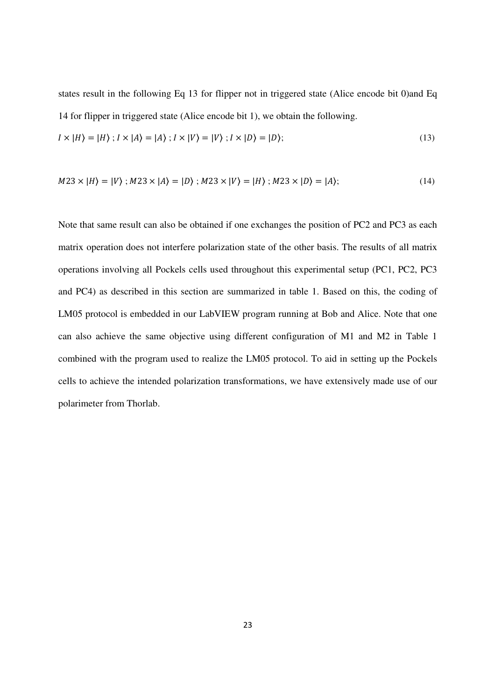states result in the following Eq 13 for flipper not in triggered state (Alice encode bit 0)and Eq 14 for flipper in triggered state (Alice encode bit 1), we obtain the following.

$$
I \times |H\rangle = |H\rangle ; I \times |A\rangle = |A\rangle ; I \times |V\rangle = |V\rangle ; I \times |D\rangle = |D\rangle;
$$
\n(13)

$$
M23 \times |H\rangle = |V\rangle; M23 \times |A\rangle = |D\rangle; M23 \times |V\rangle = |H\rangle; M23 \times |D\rangle = |A\rangle;
$$
 (14)

Note that same result can also be obtained if one exchanges the position of PC2 and PC3 as each matrix operation does not interfere polarization state of the other basis. The results of all matrix operations involving all Pockels cells used throughout this experimental setup (PC1, PC2, PC3 and PC4) as described in this section are summarized in table 1. Based on this, the coding of LM05 protocol is embedded in our LabVIEW program running at Bob and Alice. Note that one can also achieve the same objective using different configuration of M1 and M2 in Table 1 combined with the program used to realize the LM05 protocol. To aid in setting up the Pockels cells to achieve the intended polarization transformations, we have extensively made use of our polarimeter from Thorlab.